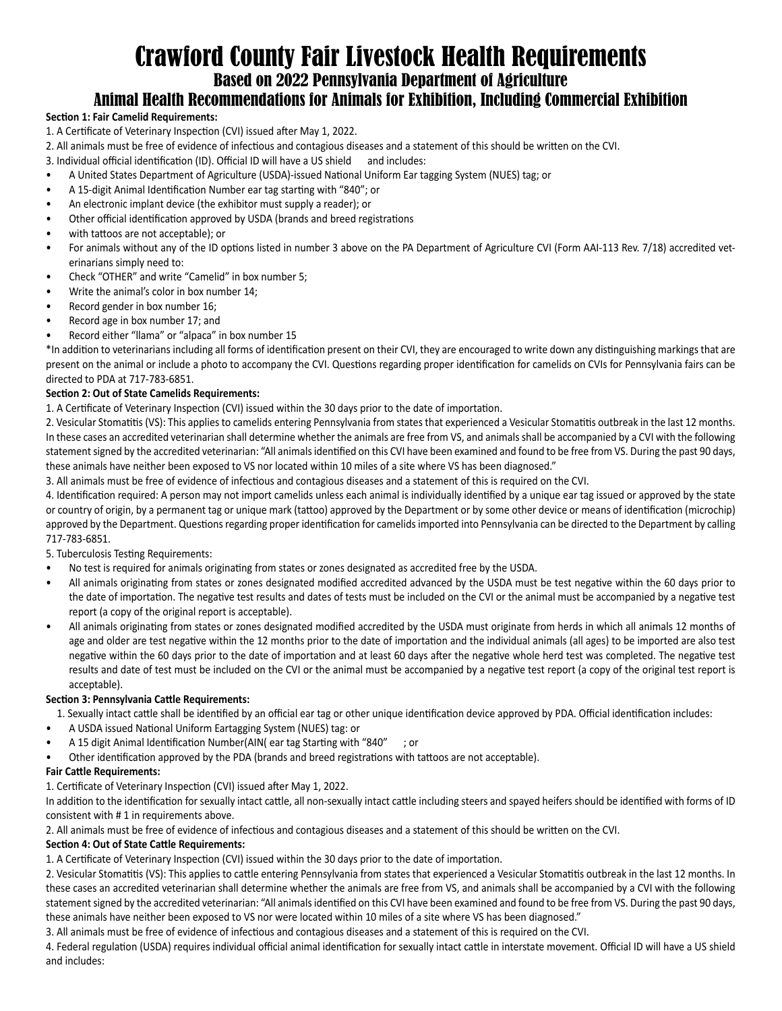# Crawford County Fair Livestock Health Requirements

Based on 2022 Pennsylvania Department of Agriculture

# Animal Health Recommendations for Animals for Exhibition, Including Commercial Exhibition

# **Section 1: Fair Camelid Requirements:**

- 1. A Certificate of Veterinary Inspection (CVI) issued after May 1, 2022.
- 2. All animals must be free of evidence of infectious and contagious diseases and a statement of this should be written on the CVI.
- 3. Individual official identification (ID). Official ID will have a US shield and includes:
- A United States Department of Agriculture (USDA)-issued National Uniform Ear tagging System (NUES) tag; or
- A 15-digit Animal Identification Number ear tag starting with "840"; or
- An electronic implant device (the exhibitor must supply a reader); or
- Other official identification approved by USDA (brands and breed registrations
- with tattoos are not acceptable); or
- For animals without any of the ID options listed in number 3 above on the PA Department of Agriculture CVI (Form AAI-113 Rev. 7/18) accredited veterinarians simply need to:
- Check "OTHER" and write "Camelid" in box number 5;
- Write the animal's color in box number 14;
- Record gender in box number 16;
- Record age in box number 17; and
- Record either "llama" or "alpaca" in box number 15

\*In addition to veterinarians including all forms of identification present on their CVI, they are encouraged to write down any distinguishing markings that are present on the animal or include a photo to accompany the CVI. Questions regarding proper identification for camelids on CVIs for Pennsylvania fairs can be directed to PDA at 717-783-6851.

# **Section 2: Out of State Camelids Requirements:**

1. A Certificate of Veterinary Inspection (CVI) issued within the 30 days prior to the date of importation.

2. Vesicular Stomatitis (VS): This applies to camelids entering Pennsylvania from states that experienced a Vesicular Stomatitis outbreak in the last 12 months. In these cases an accredited veterinarian shall determine whether the animals are free from VS, and animals shall be accompanied by a CVI with the following statement signed by the accredited veterinarian: "All animals identified on this CVI have been examined and found to be free from VS. During the past 90 days, these animals have neither been exposed to VS nor located within 10 miles of a site where VS has been diagnosed."

3. All animals must be free of evidence of infectious and contagious diseases and a statement of this is required on the CVI.

4. Identification required: A person may not import camelids unless each animal is individually identified by a unique ear tag issued or approved by the state or country of origin, by a permanent tag or unique mark (tattoo) approved by the Department or by some other device or means of identification (microchip) approved by the Department. Questions regarding proper identification for camelids imported into Pennsylvania can be directed to the Department by calling 717-783-6851.

5. Tuberculosis Testing Requirements:

- No test is required for animals originating from states or zones designated as accredited free by the USDA.
- All animals originating from states or zones designated modified accredited advanced by the USDA must be test negative within the 60 days prior to the date of importation. The negative test results and dates of tests must be included on the CVI or the animal must be accompanied by a negative test report (a copy of the original report is acceptable).
- All animals originating from states or zones designated modified accredited by the USDA must originate from herds in which all animals 12 months of age and older are test negative within the 12 months prior to the date of importation and the individual animals (all ages) to be imported are also test negative within the 60 days prior to the date of importation and at least 60 days after the negative whole herd test was completed. The negative test results and date of test must be included on the CVI or the animal must be accompanied by a negative test report (a copy of the original test report is acceptable).

# **Section 3: Pennsylvania Cattle Requirements:**

1. Sexually intact cattle shall be identified by an official ear tag or other unique identification device approved by PDA. Official identification includes:

- A USDA issued National Uniform Eartagging System (NUES) tag: or
- A 15 digit Animal Identification Number(AIN( ear tag Starting with "840" ; or
- Other identification approved by the PDA (brands and breed registrations with tattoos are not acceptable).

# **Fair Cattle Requirements:**

1. Certificate of Veterinary Inspection (CVI) issued after May 1, 2022.

In addition to the identification for sexually intact cattle, all non-sexually intact cattle including steers and spayed heifers should be identified with forms of ID consistent with # 1 in requirements above.

2. All animals must be free of evidence of infectious and contagious diseases and a statement of this should be written on the CVI.

# **Section 4: Out of State Cattle Requirements:**

1. A Certificate of Veterinary Inspection (CVI) issued within the 30 days prior to the date of importation.

2. Vesicular Stomatitis (VS): This applies to cattle entering Pennsylvania from states that experienced a Vesicular Stomatitis outbreak in the last 12 months. In these cases an accredited veterinarian shall determine whether the animals are free from VS, and animals shall be accompanied by a CVI with the following statement signed by the accredited veterinarian: "All animals identified on this CVI have been examined and found to be free from VS. During the past 90 days, these animals have neither been exposed to VS nor were located within 10 miles of a site where VS has been diagnosed."

3. All animals must be free of evidence of infectious and contagious diseases and a statement of this is required on the CVI.

4. Federal regulation (USDA) requires individual official animal identification for sexually intact cattle in interstate movement. Official ID will have a US shield and includes: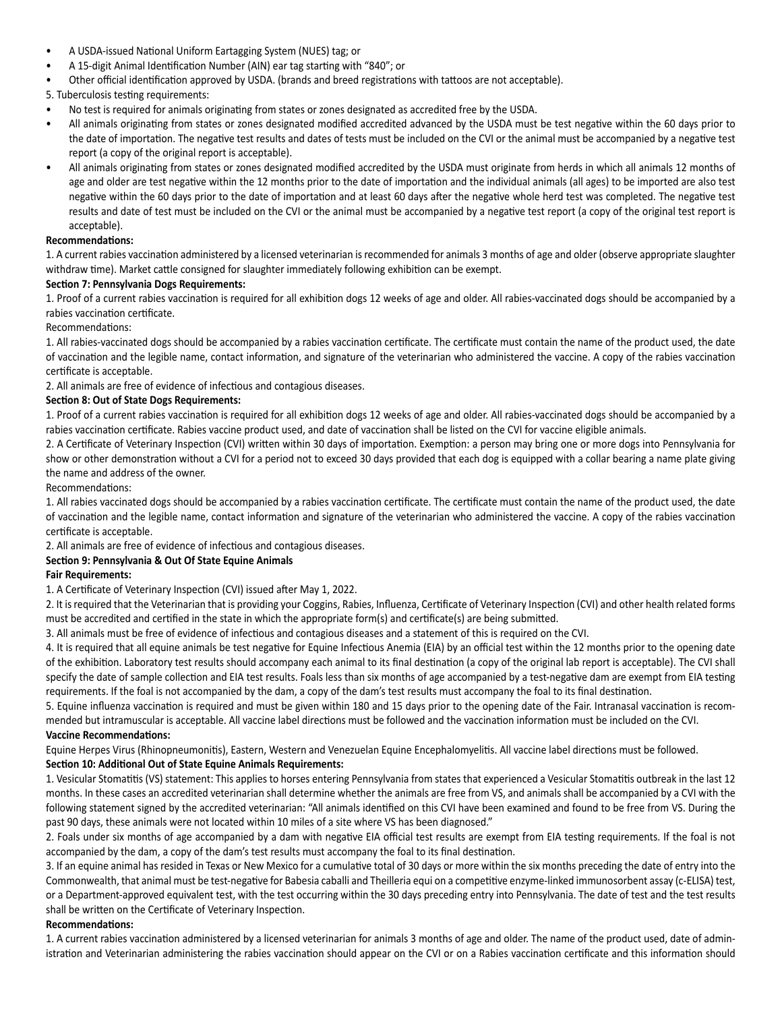- A USDA-issued National Uniform Eartagging System (NUES) tag; or
- A 15-digit Animal Identification Number (AIN) ear tag starting with "840"; or
- Other official identification approved by USDA. (brands and breed registrations with tattoos are not acceptable).

5. Tuberculosis testing requirements:

- No test is required for animals originating from states or zones designated as accredited free by the USDA.
- All animals originating from states or zones designated modified accredited advanced by the USDA must be test negative within the 60 days prior to the date of importation. The negative test results and dates of tests must be included on the CVI or the animal must be accompanied by a negative test report (a copy of the original report is acceptable).
- All animals originating from states or zones designated modified accredited by the USDA must originate from herds in which all animals 12 months of age and older are test negative within the 12 months prior to the date of importation and the individual animals (all ages) to be imported are also test negative within the 60 days prior to the date of importation and at least 60 days after the negative whole herd test was completed. The negative test results and date of test must be included on the CVI or the animal must be accompanied by a negative test report (a copy of the original test report is acceptable).

#### **Recommendations:**

1. A current rabies vaccination administered by a licensed veterinarian is recommended for animals 3 months of age and older (observe appropriate slaughter withdraw time). Market cattle consigned for slaughter immediately following exhibition can be exempt.

### **Section 7: Pennsylvania Dogs Requirements:**

1. Proof of a current rabies vaccination is required for all exhibition dogs 12 weeks of age and older. All rabies-vaccinated dogs should be accompanied by a rabies vaccination certificate.

Recommendations:

1. All rabies-vaccinated dogs should be accompanied by a rabies vaccination certificate. The certificate must contain the name of the product used, the date of vaccination and the legible name, contact information, and signature of the veterinarian who administered the vaccine. A copy of the rabies vaccination certificate is acceptable.

2. All animals are free of evidence of infectious and contagious diseases.

### **Section 8: Out of State Dogs Requirements:**

1. Proof of a current rabies vaccination is required for all exhibition dogs 12 weeks of age and older. All rabies-vaccinated dogs should be accompanied by a rabies vaccination certificate. Rabies vaccine product used, and date of vaccination shall be listed on the CVI for vaccine eligible animals.

2. A Certificate of Veterinary Inspection (CVI) written within 30 days of importation. Exemption: a person may bring one or more dogs into Pennsylvania for show or other demonstration without a CVI for a period not to exceed 30 days provided that each dog is equipped with a collar bearing a name plate giving the name and address of the owner.

#### Recommendations:

1. All rabies vaccinated dogs should be accompanied by a rabies vaccination certificate. The certificate must contain the name of the product used, the date of vaccination and the legible name, contact information and signature of the veterinarian who administered the vaccine. A copy of the rabies vaccination certificate is acceptable.

2. All animals are free of evidence of infectious and contagious diseases.

# **Section 9: Pennsylvania & Out Of State Equine Animals**

#### **Fair Requirements:**

1. A Certificate of Veterinary Inspection (CVI) issued after May 1, 2022.

2. It is required that the Veterinarian that is providing your Coggins, Rabies, Influenza, Certificate of Veterinary Inspection (CVI) and other health related forms must be accredited and certified in the state in which the appropriate form(s) and certificate(s) are being submitted.

3. All animals must be free of evidence of infectious and contagious diseases and a statement of this is required on the CVI.

4. It is required that all equine animals be test negative for Equine Infectious Anemia (EIA) by an official test within the 12 months prior to the opening date of the exhibition. Laboratory test results should accompany each animal to its final destination (a copy of the original lab report is acceptable). The CVI shall specify the date of sample collection and EIA test results. Foals less than six months of age accompanied by a test-negative dam are exempt from EIA testing requirements. If the foal is not accompanied by the dam, a copy of the dam's test results must accompany the foal to its final destination.

5. Equine influenza vaccination is required and must be given within 180 and 15 days prior to the opening date of the Fair. Intranasal vaccination is recommended but intramuscular is acceptable. All vaccine label directions must be followed and the vaccination information must be included on the CVI. **Vaccine Recommendations:**

Equine Herpes Virus (Rhinopneumonitis), Eastern, Western and Venezuelan Equine Encephalomyelitis. All vaccine label directions must be followed. **Section 10: Additional Out of State Equine Animals Requirements:**

1. Vesicular Stomatitis (VS) statement: This applies to horses entering Pennsylvania from states that experienced a Vesicular Stomatitis outbreak in the last 12 months. In these cases an accredited veterinarian shall determine whether the animals are free from VS, and animals shall be accompanied by a CVI with the following statement signed by the accredited veterinarian: "All animals identified on this CVI have been examined and found to be free from VS. During the past 90 days, these animals were not located within 10 miles of a site where VS has been diagnosed."

2. Foals under six months of age accompanied by a dam with negative EIA official test results are exempt from EIA testing requirements. If the foal is not accompanied by the dam, a copy of the dam's test results must accompany the foal to its final destination.

3. If an equine animal has resided in Texas or New Mexico for a cumulative total of 30 days or more within the six months preceding the date of entry into the Commonwealth, that animal must be test-negative for Babesia caballi and Theilleria equi on a competitive enzyme-linked immunosorbent assay (c-ELISA) test, or a Department-approved equivalent test, with the test occurring within the 30 days preceding entry into Pennsylvania. The date of test and the test results shall be written on the Certificate of Veterinary Inspection.

#### **Recommendations:**

1. A current rabies vaccination administered by a licensed veterinarian for animals 3 months of age and older. The name of the product used, date of administration and Veterinarian administering the rabies vaccination should appear on the CVI or on a Rabies vaccination certificate and this information should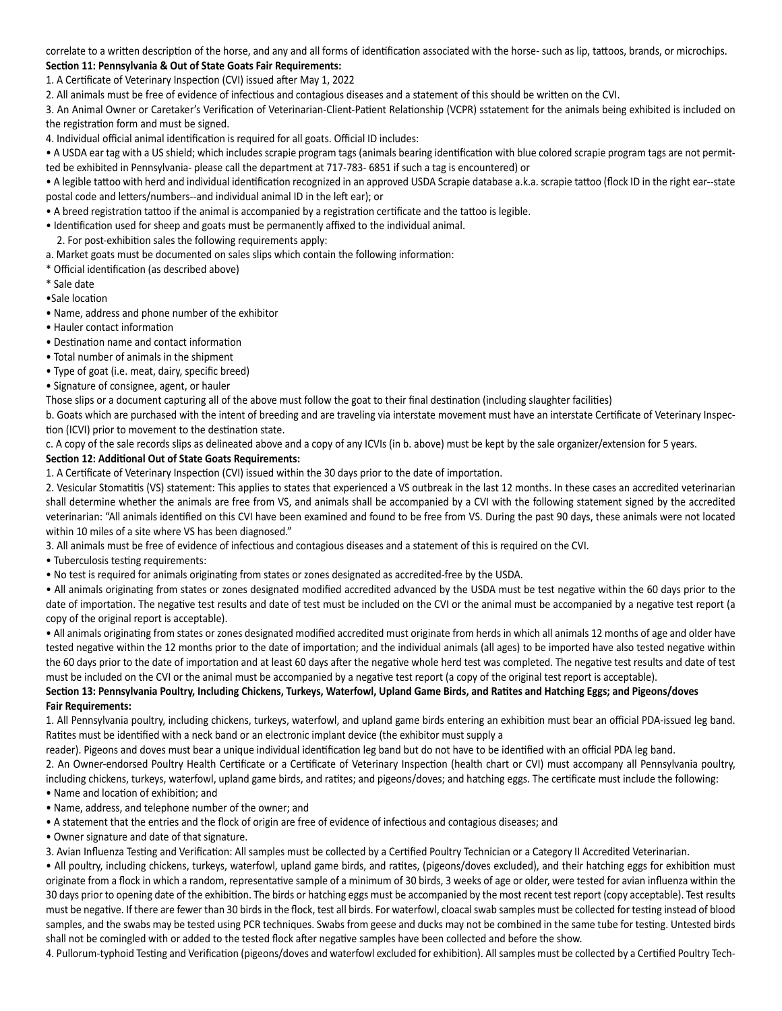correlate to a written description of the horse, and any and all forms of identification associated with the horse- such as lip, tattoos, brands, or microchips. **Section 11: Pennsylvania & Out of State Goats Fair Requirements:**

1. A Certificate of Veterinary Inspection (CVI) issued after May 1, 2022

2. All animals must be free of evidence of infectious and contagious diseases and a statement of this should be written on the CVI.

3. An Animal Owner or Caretaker's Verification of Veterinarian-Client-Patient Relationship (VCPR) sstatement for the animals being exhibited is included on the registration form and must be signed.

4. Individual official animal identification is required for all goats. Official ID includes:

• A USDA ear tag with a US shield; which includes scrapie program tags (animals bearing identification with blue colored scrapie program tags are not permitted be exhibited in Pennsylvania- please call the department at 717-783- 6851 if such a tag is encountered) or

• A legible tattoo with herd and individual identification recognized in an approved USDA Scrapie database a.k.a. scrapie tattoo (flock ID in the right ear--state postal code and letters/numbers--and individual animal ID in the left ear); or

• A breed registration tattoo if the animal is accompanied by a registration certificate and the tattoo is legible.

• Identification used for sheep and goats must be permanently affixed to the individual animal.

2. For post-exhibition sales the following requirements apply:

a. Market goats must be documented on sales slips which contain the following information:

\* Official identification (as described above)

\* Sale date

•Sale location

- Name, address and phone number of the exhibitor
- Hauler contact information
- Destination name and contact information

• Total number of animals in the shipment

• Type of goat (i.e. meat, dairy, specific breed)

• Signature of consignee, agent, or hauler

Those slips or a document capturing all of the above must follow the goat to their final destination (including slaughter facilities)

b. Goats which are purchased with the intent of breeding and are traveling via interstate movement must have an interstate Certificate of Veterinary Inspection (ICVI) prior to movement to the destination state.

c. A copy of the sale records slips as delineated above and a copy of any ICVIs (in b. above) must be kept by the sale organizer/extension for 5 years.

#### **Section 12: Additional Out of State Goats Requirements:**

1. A Certificate of Veterinary Inspection (CVI) issued within the 30 days prior to the date of importation.

2. Vesicular Stomatitis (VS) statement: This applies to states that experienced a VS outbreak in the last 12 months. In these cases an accredited veterinarian shall determine whether the animals are free from VS, and animals shall be accompanied by a CVI with the following statement signed by the accredited veterinarian: "All animals identified on this CVI have been examined and found to be free from VS. During the past 90 days, these animals were not located within 10 miles of a site where VS has been diagnosed."

3. All animals must be free of evidence of infectious and contagious diseases and a statement of this is required on the CVI.

• Tuberculosis testing requirements:

• No test is required for animals originating from states or zones designated as accredited-free by the USDA.

• All animals originating from states or zones designated modified accredited advanced by the USDA must be test negative within the 60 days prior to the date of importation. The negative test results and date of test must be included on the CVI or the animal must be accompanied by a negative test report (a copy of the original report is acceptable).

• All animals originating from states or zones designated modified accredited must originate from herds in which all animals 12 months of age and older have tested negative within the 12 months prior to the date of importation; and the individual animals (all ages) to be imported have also tested negative within the 60 days prior to the date of importation and at least 60 days after the negative whole herd test was completed. The negative test results and date of test must be included on the CVI or the animal must be accompanied by a negative test report (a copy of the original test report is acceptable).

# **Section 13: Pennsylvania Poultry, Including Chickens, Turkeys, Waterfowl, Upland Game Birds, and Ratites and Hatching Eggs; and Pigeons/doves Fair Requirements:**

1. All Pennsylvania poultry, including chickens, turkeys, waterfowl, and upland game birds entering an exhibition must bear an official PDA-issued leg band. Ratites must be identified with a neck band or an electronic implant device (the exhibitor must supply a

reader). Pigeons and doves must bear a unique individual identification leg band but do not have to be identified with an official PDA leg band.

2. An Owner-endorsed Poultry Health Certificate or a Certificate of Veterinary Inspection (health chart or CVI) must accompany all Pennsylvania poultry, including chickens, turkeys, waterfowl, upland game birds, and ratites; and pigeons/doves; and hatching eggs. The certificate must include the following: • Name and location of exhibition; and

- Name, address, and telephone number of the owner; and
- A statement that the entries and the flock of origin are free of evidence of infectious and contagious diseases; and
- Owner signature and date of that signature.

3. Avian Influenza Testing and Verification: All samples must be collected by a Certified Poultry Technician or a Category II Accredited Veterinarian.

• All poultry, including chickens, turkeys, waterfowl, upland game birds, and ratites, (pigeons/doves excluded), and their hatching eggs for exhibition must originate from a flock in which a random, representative sample of a minimum of 30 birds, 3 weeks of age or older, were tested for avian influenza within the 30 days prior to opening date of the exhibition. The birds or hatching eggs must be accompanied by the most recent test report (copy acceptable). Test results must be negative. If there are fewer than 30 birds in the flock, test all birds. For waterfowl, cloacal swab samples must be collected for testing instead of blood samples, and the swabs may be tested using PCR techniques. Swabs from geese and ducks may not be combined in the same tube for testing. Untested birds shall not be comingled with or added to the tested flock after negative samples have been collected and before the show.

4. Pullorum-typhoid Testing and Verification (pigeons/doves and waterfowl excluded for exhibition). All samples must be collected by a Certified Poultry Tech-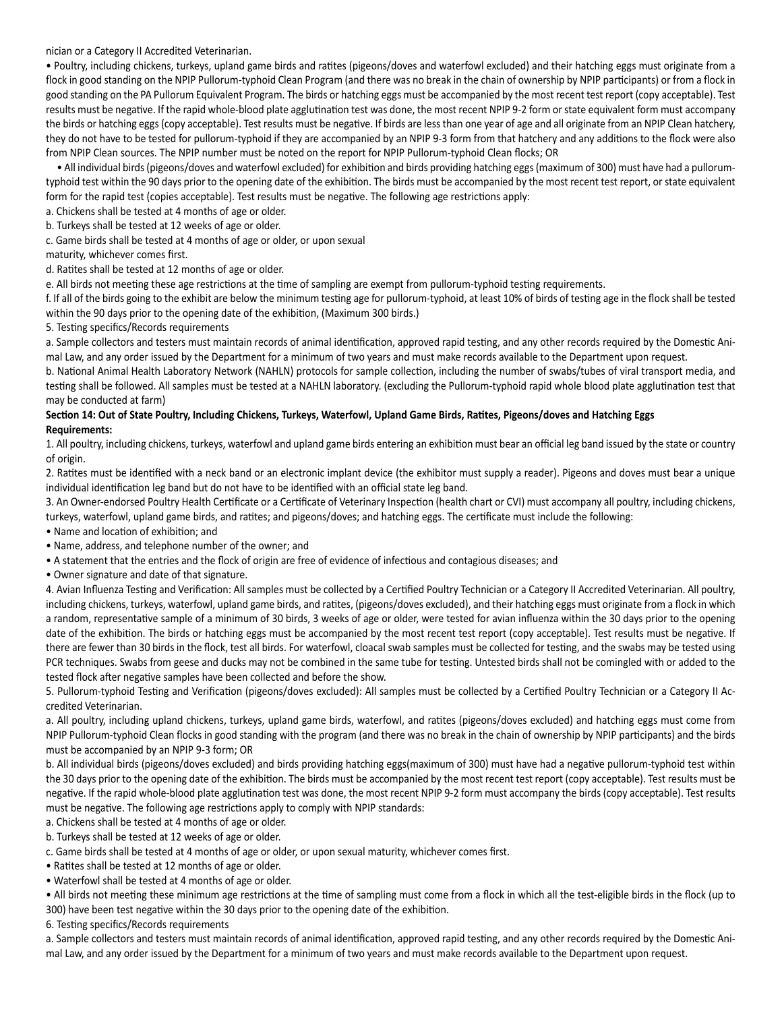nician or a Category II Accredited Veterinarian.

• Poultry, including chickens, turkeys, upland game birds and ratites (pigeons/doves and waterfowl excluded) and their hatching eggs must originate from a flock in good standing on the NPIP Pullorum-typhoid Clean Program (and there was no break in the chain of ownership by NPIP participants) or from a flock in good standing on the PA Pullorum Equivalent Program. The birds or hatching eggs must be accompanied by the most recent test report (copy acceptable). Test results must be negative. If the rapid whole-blood plate agglutination test was done, the most recent NPIP 9-2 form or state equivalent form must accompany the birds or hatching eggs (copy acceptable). Test results must be negative. If birds are less than one year of age and all originate from an NPIP Clean hatchery, they do not have to be tested for pullorum-typhoid if they are accompanied by an NPIP 9-3 form from that hatchery and any additions to the flock were also from NPIP Clean sources. The NPIP number must be noted on the report for NPIP Pullorum-typhoid Clean flocks; OR

• All individual birds (pigeons/doves and waterfowl excluded) for exhibition and birds providing hatching eggs (maximum of 300) must have had a pullorumtyphoid test within the 90 days prior to the opening date of the exhibition. The birds must be accompanied by the most recent test report, or state equivalent form for the rapid test (copies acceptable). Test results must be negative. The following age restrictions apply:

a. Chickens shall be tested at 4 months of age or older.

b. Turkeys shall be tested at 12 weeks of age or older.

c. Game birds shall be tested at 4 months of age or older, or upon sexual

maturity, whichever comes first.

d. Ratites shall be tested at 12 months of age or older.

e. All birds not meeting these age restrictions at the time of sampling are exempt from pullorum-typhoid testing requirements.

f. If all of the birds going to the exhibit are below the minimum testing age for pullorum-typhoid, at least 10% of birds of testing age in the flock shall be tested within the 90 days prior to the opening date of the exhibition, (Maximum 300 birds.)

5. Testing specifics/Records requirements

a. Sample collectors and testers must maintain records of animal identification, approved rapid testing, and any other records required by the Domestic Animal Law, and any order issued by the Department for a minimum of two years and must make records available to the Department upon request.

b. National Animal Health Laboratory Network (NAHLN) protocols for sample collection, including the number of swabs/tubes of viral transport media, and testing shall be followed. All samples must be tested at a NAHLN laboratory. (excluding the Pullorum-typhoid rapid whole blood plate agglutination test that may be conducted at farm)

#### **Section 14: Out of State Poultry, Including Chickens, Turkeys, Waterfowl, Upland Game Birds, Ratites, Pigeons/doves and Hatching Eggs Requirements:**

1. All poultry, including chickens, turkeys, waterfowl and upland game birds entering an exhibition must bear an official leg band issued by the state or country of origin.

2. Ratites must be identified with a neck band or an electronic implant device (the exhibitor must supply a reader). Pigeons and doves must bear a unique individual identification leg band but do not have to be identified with an official state leg band.

3. An Owner-endorsed Poultry Health Certificate or a Certificate of Veterinary Inspection (health chart or CVI) must accompany all poultry, including chickens, turkeys, waterfowl, upland game birds, and ratites; and pigeons/doves; and hatching eggs. The certificate must include the following:

- Name and location of exhibition; and
- Name, address, and telephone number of the owner; and
- A statement that the entries and the flock of origin are free of evidence of infectious and contagious diseases; and
- Owner signature and date of that signature.

4. Avian Influenza Testing and Verification: All samples must be collected by a Certified Poultry Technician or a Category II Accredited Veterinarian. All poultry, including chickens, turkeys, waterfowl, upland game birds, and ratites, (pigeons/doves excluded), and their hatching eggs must originate from a flock in which a random, representative sample of a minimum of 30 birds, 3 weeks of age or older, were tested for avian influenza within the 30 days prior to the opening date of the exhibition. The birds or hatching eggs must be accompanied by the most recent test report (copy acceptable). Test results must be negative. If there are fewer than 30 birds in the flock, test all birds. For waterfowl, cloacal swab samples must be collected for testing, and the swabs may be tested using PCR techniques. Swabs from geese and ducks may not be combined in the same tube for testing. Untested birds shall not be comingled with or added to the tested flock after negative samples have been collected and before the show.

5. Pullorum-typhoid Testing and Verification (pigeons/doves excluded): All samples must be collected by a Certified Poultry Technician or a Category II Accredited Veterinarian.

a. All poultry, including upland chickens, turkeys, upland game birds, waterfowl, and ratites (pigeons/doves excluded) and hatching eggs must come from NPIP Pullorum-typhoid Clean flocks in good standing with the program (and there was no break in the chain of ownership by NPIP participants) and the birds must be accompanied by an NPIP 9-3 form; OR

b. All individual birds (pigeons/doves excluded) and birds providing hatching eggs(maximum of 300) must have had a negative pullorum-typhoid test within the 30 days prior to the opening date of the exhibition. The birds must be accompanied by the most recent test report (copy acceptable). Test results must be negative. If the rapid whole-blood plate agglutination test was done, the most recent NPIP 9-2 form must accompany the birds (copy acceptable). Test results must be negative. The following age restrictions apply to comply with NPIP standards:

a. Chickens shall be tested at 4 months of age or older.

b. Turkeys shall be tested at 12 weeks of age or older.

c. Game birds shall be tested at 4 months of age or older, or upon sexual maturity, whichever comes first.

• Ratites shall be tested at 12 months of age or older.

• Waterfowl shall be tested at 4 months of age or older.

• All birds not meeting these minimum age restrictions at the time of sampling must come from a flock in which all the test-eligible birds in the flock (up to 300) have been test negative within the 30 days prior to the opening date of the exhibition.

6. Testing specifics/Records requirements

a. Sample collectors and testers must maintain records of animal identification, approved rapid testing, and any other records required by the Domestic Animal Law, and any order issued by the Department for a minimum of two years and must make records available to the Department upon request.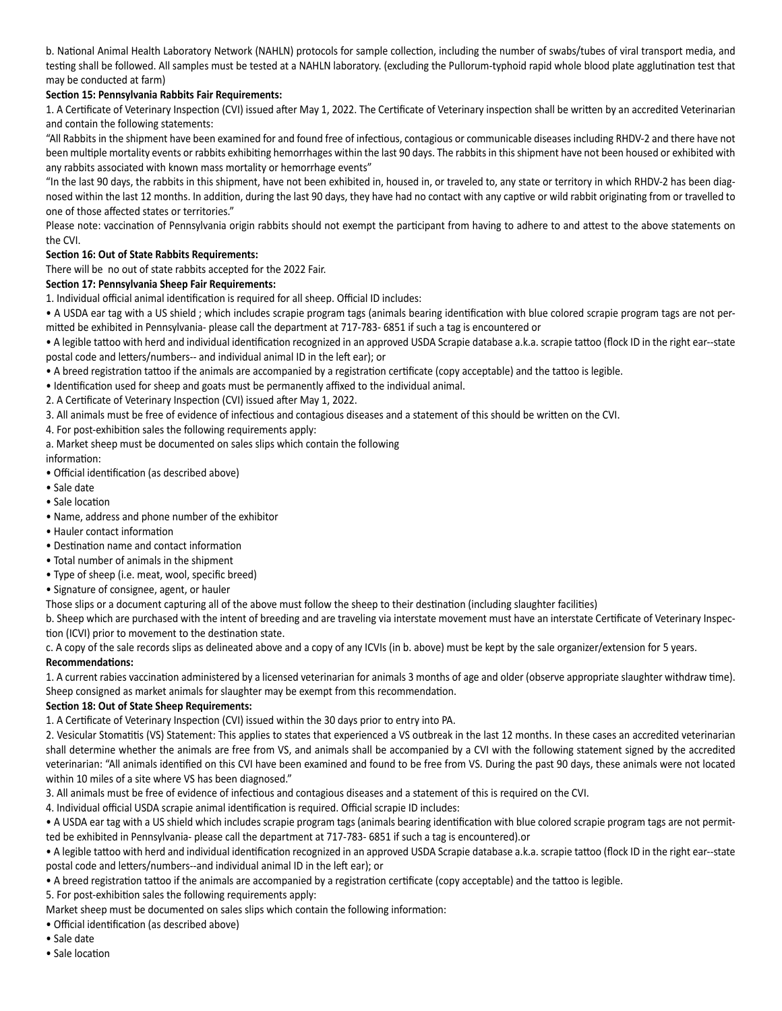b. National Animal Health Laboratory Network (NAHLN) protocols for sample collection, including the number of swabs/tubes of viral transport media, and testing shall be followed. All samples must be tested at a NAHLN laboratory. (excluding the Pullorum-typhoid rapid whole blood plate agglutination test that may be conducted at farm)

### **Section 15: Pennsylvania Rabbits Fair Requirements:**

1. A Certificate of Veterinary Inspection (CVI) issued after May 1, 2022. The Certificate of Veterinary inspection shall be written by an accredited Veterinarian and contain the following statements:

"All Rabbits in the shipment have been examined for and found free of infectious, contagious or communicable diseases including RHDV-2 and there have not been multiple mortality events or rabbits exhibiting hemorrhages within the last 90 days. The rabbits in this shipment have not been housed or exhibited with any rabbits associated with known mass mortality or hemorrhage events"

"In the last 90 days, the rabbits in this shipment, have not been exhibited in, housed in, or traveled to, any state or territory in which RHDV-2 has been diagnosed within the last 12 months. In addition, during the last 90 days, they have had no contact with any captive or wild rabbit originating from or travelled to one of those affected states or territories."

Please note: vaccination of Pennsylvania origin rabbits should not exempt the participant from having to adhere to and attest to the above statements on the CVI.

#### **Section 16: Out of State Rabbits Requirements:**

There will be no out of state rabbits accepted for the 2022 Fair.

#### **Section 17: Pennsylvania Sheep Fair Requirements:**

1. Individual official animal identification is required for all sheep. Official ID includes:

• A USDA ear tag with a US shield ; which includes scrapie program tags (animals bearing identification with blue colored scrapie program tags are not permitted be exhibited in Pennsylvania- please call the department at 717-783- 6851 if such a tag is encountered or

• A legible tattoo with herd and individual identification recognized in an approved USDA Scrapie database a.k.a. scrapie tattoo (flock ID in the right ear--state postal code and letters/numbers-- and individual animal ID in the left ear); or

• A breed registration tattoo if the animals are accompanied by a registration certificate (copy acceptable) and the tattoo is legible.

• Identification used for sheep and goats must be permanently affixed to the individual animal.

2. A Certificate of Veterinary Inspection (CVI) issued after May 1, 2022.

3. All animals must be free of evidence of infectious and contagious diseases and a statement of this should be written on the CVI.

4. For post-exhibition sales the following requirements apply:

a. Market sheep must be documented on sales slips which contain the following

information:

- Official identification (as described above)
- Sale date
- Sale location
- Name, address and phone number of the exhibitor
- Hauler contact information
- Destination name and contact information
- Total number of animals in the shipment
- Type of sheep (i.e. meat, wool, specific breed)
- Signature of consignee, agent, or hauler

Those slips or a document capturing all of the above must follow the sheep to their destination (including slaughter facilities)

b. Sheep which are purchased with the intent of breeding and are traveling via interstate movement must have an interstate Certificate of Veterinary Inspection (ICVI) prior to movement to the destination state.

c. A copy of the sale records slips as delineated above and a copy of any ICVIs (in b. above) must be kept by the sale organizer/extension for 5 years. **Recommendations:**

1. A current rabies vaccination administered by a licensed veterinarian for animals 3 months of age and older (observe appropriate slaughter withdraw time). Sheep consigned as market animals for slaughter may be exempt from this recommendation.

#### **Section 18: Out of State Sheep Requirements:**

1. A Certificate of Veterinary Inspection (CVI) issued within the 30 days prior to entry into PA.

2. Vesicular Stomatitis (VS) Statement: This applies to states that experienced a VS outbreak in the last 12 months. In these cases an accredited veterinarian shall determine whether the animals are free from VS, and animals shall be accompanied by a CVI with the following statement signed by the accredited veterinarian: "All animals identified on this CVI have been examined and found to be free from VS. During the past 90 days, these animals were not located within 10 miles of a site where VS has been diagnosed."

3. All animals must be free of evidence of infectious and contagious diseases and a statement of this is required on the CVI.

4. Individual official USDA scrapie animal identification is required. Official scrapie ID includes:

• A USDA ear tag with a US shield which includes scrapie program tags (animals bearing identification with blue colored scrapie program tags are not permitted be exhibited in Pennsylvania- please call the department at 717-783- 6851 if such a tag is encountered).or

• A legible tattoo with herd and individual identification recognized in an approved USDA Scrapie database a.k.a. scrapie tattoo (flock ID in the right ear--state postal code and letters/numbers--and individual animal ID in the left ear); or

• A breed registration tattoo if the animals are accompanied by a registration certificate (copy acceptable) and the tattoo is legible.

5. For post-exhibition sales the following requirements apply:

Market sheep must be documented on sales slips which contain the following information:

• Official identification (as described above)

• Sale date

• Sale location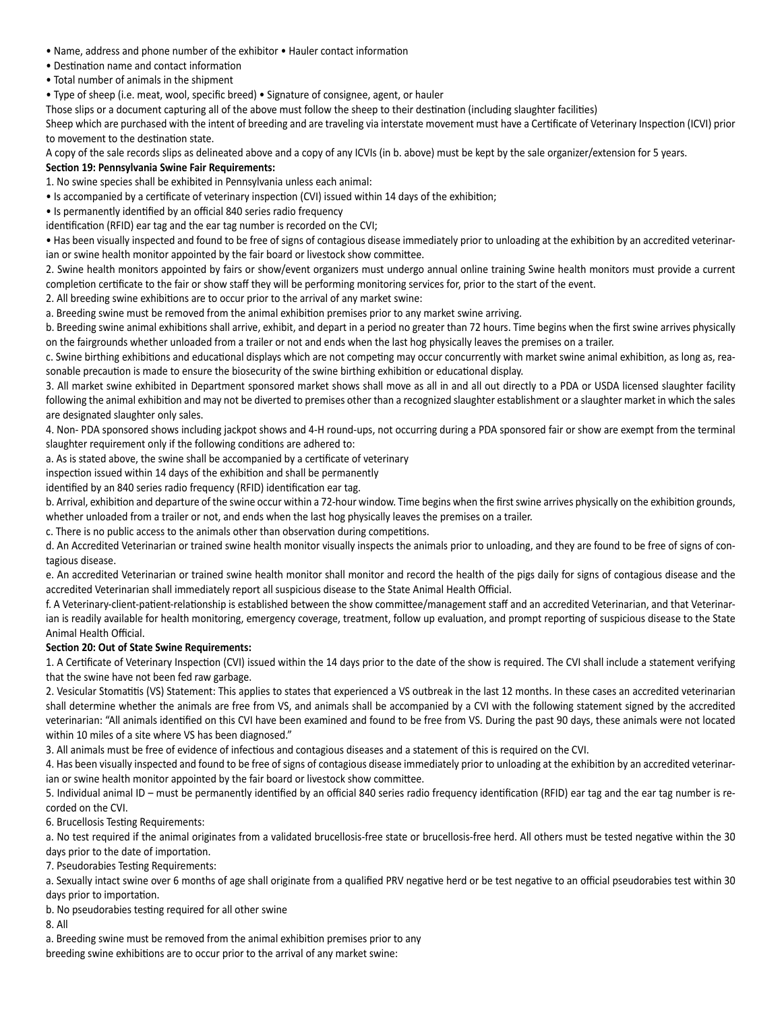- Name, address and phone number of the exhibitor Hauler contact information
- Destination name and contact information
- Total number of animals in the shipment

• Type of sheep (i.e. meat, wool, specific breed) • Signature of consignee, agent, or hauler

Those slips or a document capturing all of the above must follow the sheep to their destination (including slaughter facilities)

Sheep which are purchased with the intent of breeding and are traveling via interstate movement must have a Certificate of Veterinary Inspection (ICVI) prior to movement to the destination state.

A copy of the sale records slips as delineated above and a copy of any ICVIs (in b. above) must be kept by the sale organizer/extension for 5 years.

#### **Section 19: Pennsylvania Swine Fair Requirements:**

1. No swine species shall be exhibited in Pennsylvania unless each animal:

• Is accompanied by a certificate of veterinary inspection (CVI) issued within 14 days of the exhibition;

• Is permanently identified by an official 840 series radio frequency

identification (RFID) ear tag and the ear tag number is recorded on the CVI;

• Has been visually inspected and found to be free of signs of contagious disease immediately prior to unloading at the exhibition by an accredited veterinarian or swine health monitor appointed by the fair board or livestock show committee.

2. Swine health monitors appointed by fairs or show/event organizers must undergo annual online training Swine health monitors must provide a current completion certificate to the fair or show staff they will be performing monitoring services for, prior to the start of the event.

2. All breeding swine exhibitions are to occur prior to the arrival of any market swine:

a. Breeding swine must be removed from the animal exhibition premises prior to any market swine arriving.

b. Breeding swine animal exhibitions shall arrive, exhibit, and depart in a period no greater than 72 hours. Time begins when the first swine arrives physically on the fairgrounds whether unloaded from a trailer or not and ends when the last hog physically leaves the premises on a trailer.

c. Swine birthing exhibitions and educational displays which are not competing may occur concurrently with market swine animal exhibition, as long as, reasonable precaution is made to ensure the biosecurity of the swine birthing exhibition or educational display.

3. All market swine exhibited in Department sponsored market shows shall move as all in and all out directly to a PDA or USDA licensed slaughter facility following the animal exhibition and may not be diverted to premises other than a recognized slaughter establishment or a slaughter market in which the sales are designated slaughter only sales.

4. Non- PDA sponsored shows including jackpot shows and 4-H round-ups, not occurring during a PDA sponsored fair or show are exempt from the terminal slaughter requirement only if the following conditions are adhered to:

a. As is stated above, the swine shall be accompanied by a certificate of veterinary

inspection issued within 14 days of the exhibition and shall be permanently

identified by an 840 series radio frequency (RFID) identification ear tag.

b. Arrival, exhibition and departure of the swine occur within a 72-hour window. Time begins when the first swine arrives physically on the exhibition grounds, whether unloaded from a trailer or not, and ends when the last hog physically leaves the premises on a trailer.

c. There is no public access to the animals other than observation during competitions.

d. An Accredited Veterinarian or trained swine health monitor visually inspects the animals prior to unloading, and they are found to be free of signs of contagious disease.

e. An accredited Veterinarian or trained swine health monitor shall monitor and record the health of the pigs daily for signs of contagious disease and the accredited Veterinarian shall immediately report all suspicious disease to the State Animal Health Official.

f. A Veterinary-client-patient-relationship is established between the show committee/management staff and an accredited Veterinarian, and that Veterinarian is readily available for health monitoring, emergency coverage, treatment, follow up evaluation, and prompt reporting of suspicious disease to the State Animal Health Official.

#### **Section 20: Out of State Swine Requirements:**

1. A Certificate of Veterinary Inspection (CVI) issued within the 14 days prior to the date of the show is required. The CVI shall include a statement verifying that the swine have not been fed raw garbage.

2. Vesicular Stomatitis (VS) Statement: This applies to states that experienced a VS outbreak in the last 12 months. In these cases an accredited veterinarian shall determine whether the animals are free from VS, and animals shall be accompanied by a CVI with the following statement signed by the accredited veterinarian: "All animals identified on this CVI have been examined and found to be free from VS. During the past 90 days, these animals were not located within 10 miles of a site where VS has been diagnosed."

3. All animals must be free of evidence of infectious and contagious diseases and a statement of this is required on the CVI.

4. Has been visually inspected and found to be free of signs of contagious disease immediately prior to unloading at the exhibition by an accredited veterinarian or swine health monitor appointed by the fair board or livestock show committee.

5. Individual animal ID – must be permanently identified by an official 840 series radio frequency identification (RFID) ear tag and the ear tag number is recorded on the CVI.

6. Brucellosis Testing Requirements:

a. No test required if the animal originates from a validated brucellosis-free state or brucellosis-free herd. All others must be tested negative within the 30 days prior to the date of importation.

7. Pseudorabies Testing Requirements:

a. Sexually intact swine over 6 months of age shall originate from a qualified PRV negative herd or be test negative to an official pseudorabies test within 30 days prior to importation.

b. No pseudorabies testing required for all other swine

8. All

a. Breeding swine must be removed from the animal exhibition premises prior to any breeding swine exhibitions are to occur prior to the arrival of any market swine: